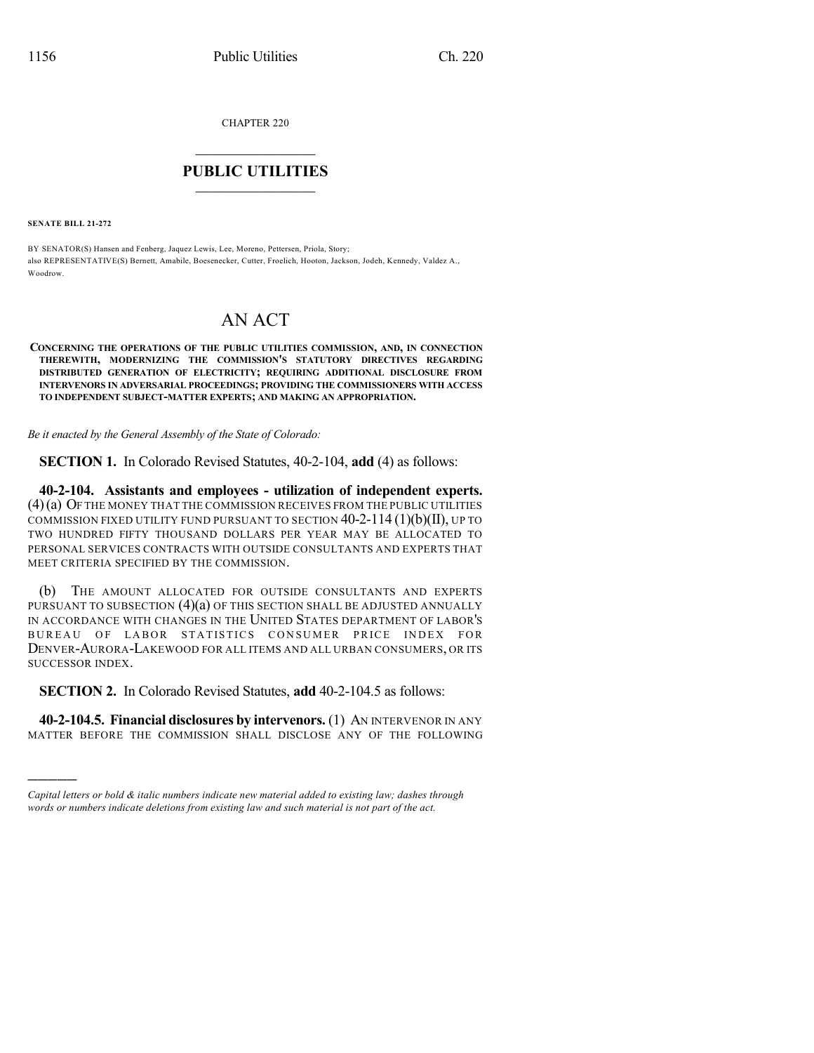CHAPTER 220

## $\mathcal{L}_\text{max}$  . The set of the set of the set of the set of the set of the set of the set of the set of the set of the set of the set of the set of the set of the set of the set of the set of the set of the set of the set **PUBLIC UTILITIES** \_\_\_\_\_\_\_\_\_\_\_\_\_\_\_

**SENATE BILL 21-272**

)))))

BY SENATOR(S) Hansen and Fenberg, Jaquez Lewis, Lee, Moreno, Pettersen, Priola, Story; also REPRESENTATIVE(S) Bernett, Amabile, Boesenecker, Cutter, Froelich, Hooton, Jackson, Jodeh, Kennedy, Valdez A., Woodrow.

## AN ACT

**CONCERNING THE OPERATIONS OF THE PUBLIC UTILITIES COMMISSION, AND, IN CONNECTION THEREWITH, MODERNIZING THE COMMISSION'S STATUTORY DIRECTIVES REGARDING DISTRIBUTED GENERATION OF ELECTRICITY; REQUIRING ADDITIONAL DISCLOSURE FROM INTERVENORS IN ADVERSARIAL PROCEEDINGS; PROVIDING THE COMMISSIONERS WITH ACCESS TO INDEPENDENT SUBJECT-MATTER EXPERTS; AND MAKING AN APPROPRIATION.**

*Be it enacted by the General Assembly of the State of Colorado:*

**SECTION 1.** In Colorado Revised Statutes, 40-2-104, **add** (4) as follows:

**40-2-104. Assistants and employees - utilization of independent experts.** (4)(a) OF THE MONEY THAT THE COMMISSION RECEIVES FROM THE PUBLIC UTILITIES COMMISSION FIXED UTILITY FUND PURSUANT TO SECTION 40-2-114 (1)(b)(II), UP TO TWO HUNDRED FIFTY THOUSAND DOLLARS PER YEAR MAY BE ALLOCATED TO PERSONAL SERVICES CONTRACTS WITH OUTSIDE CONSULTANTS AND EXPERTS THAT MEET CRITERIA SPECIFIED BY THE COMMISSION.

(b) THE AMOUNT ALLOCATED FOR OUTSIDE CONSULTANTS AND EXPERTS PURSUANT TO SUBSECTION (4)(a) OF THIS SECTION SHALL BE ADJUSTED ANNUALLY IN ACCORDANCE WITH CHANGES IN THE UNITED STATES DEPARTMENT OF LABOR'S BUREAU OF LABOR STATISTICS CONSUMER PRICE INDEX FOR DENVER-AURORA-LAKEWOOD FOR ALL ITEMS AND ALL URBAN CONSUMERS, OR ITS SUCCESSOR INDEX.

**SECTION 2.** In Colorado Revised Statutes, **add** 40-2-104.5 as follows:

**40-2-104.5. Financial disclosures by intervenors.** (1) AN INTERVENOR IN ANY MATTER BEFORE THE COMMISSION SHALL DISCLOSE ANY OF THE FOLLOWING

*Capital letters or bold & italic numbers indicate new material added to existing law; dashes through words or numbers indicate deletions from existing law and such material is not part of the act.*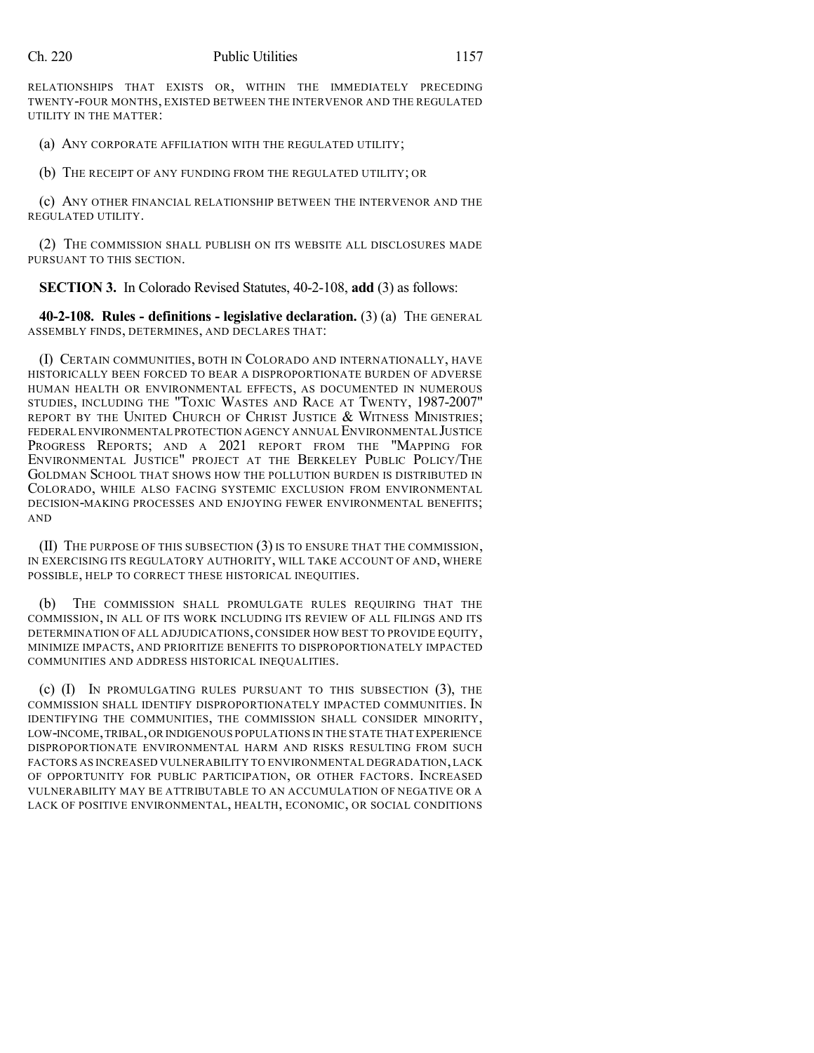RELATIONSHIPS THAT EXISTS OR, WITHIN THE IMMEDIATELY PRECEDING TWENTY-FOUR MONTHS, EXISTED BETWEEN THE INTERVENOR AND THE REGULATED UTILITY IN THE MATTER:

(a) ANY CORPORATE AFFILIATION WITH THE REGULATED UTILITY;

(b) THE RECEIPT OF ANY FUNDING FROM THE REGULATED UTILITY; OR

(c) ANY OTHER FINANCIAL RELATIONSHIP BETWEEN THE INTERVENOR AND THE REGULATED UTILITY.

(2) THE COMMISSION SHALL PUBLISH ON ITS WEBSITE ALL DISCLOSURES MADE PURSUANT TO THIS SECTION.

**SECTION 3.** In Colorado Revised Statutes, 40-2-108, **add** (3) as follows:

**40-2-108. Rules - definitions - legislative declaration.** (3) (a) THE GENERAL ASSEMBLY FINDS, DETERMINES, AND DECLARES THAT:

(I) CERTAIN COMMUNITIES, BOTH IN COLORADO AND INTERNATIONALLY, HAVE HISTORICALLY BEEN FORCED TO BEAR A DISPROPORTIONATE BURDEN OF ADVERSE HUMAN HEALTH OR ENVIRONMENTAL EFFECTS, AS DOCUMENTED IN NUMEROUS STUDIES, INCLUDING THE "TOXIC WASTES AND RACE AT TWENTY, 1987-2007" REPORT BY THE UNITED CHURCH OF CHRIST JUSTICE & WITNESS MINISTRIES; FEDERAL ENVIRONMENTAL PROTECTION AGENCY ANNUAL ENVIRONMENTAL JUSTICE PROGRESS REPORTS; AND A 2021 REPORT FROM THE "MAPPING FOR ENVIRONMENTAL JUSTICE" PROJECT AT THE BERKELEY PUBLIC POLICY/THE GOLDMAN SCHOOL THAT SHOWS HOW THE POLLUTION BURDEN IS DISTRIBUTED IN COLORADO, WHILE ALSO FACING SYSTEMIC EXCLUSION FROM ENVIRONMENTAL DECISION-MAKING PROCESSES AND ENJOYING FEWER ENVIRONMENTAL BENEFITS; AND

(II) THE PURPOSE OF THIS SUBSECTION (3) IS TO ENSURE THAT THE COMMISSION, IN EXERCISING ITS REGULATORY AUTHORITY, WILL TAKE ACCOUNT OF AND, WHERE POSSIBLE, HELP TO CORRECT THESE HISTORICAL INEQUITIES.

(b) THE COMMISSION SHALL PROMULGATE RULES REQUIRING THAT THE COMMISSION, IN ALL OF ITS WORK INCLUDING ITS REVIEW OF ALL FILINGS AND ITS DETERMINATION OF ALL ADJUDICATIONS,CONSIDER HOW BEST TO PROVIDE EQUITY, MINIMIZE IMPACTS, AND PRIORITIZE BENEFITS TO DISPROPORTIONATELY IMPACTED COMMUNITIES AND ADDRESS HISTORICAL INEQUALITIES.

(c) (I) IN PROMULGATING RULES PURSUANT TO THIS SUBSECTION (3), THE COMMISSION SHALL IDENTIFY DISPROPORTIONATELY IMPACTED COMMUNITIES. IN IDENTIFYING THE COMMUNITIES, THE COMMISSION SHALL CONSIDER MINORITY, LOW-INCOME,TRIBAL,OR INDIGENOUS POPULATIONS IN THE STATE THAT EXPERIENCE DISPROPORTIONATE ENVIRONMENTAL HARM AND RISKS RESULTING FROM SUCH FACTORS AS INCREASED VULNERABILITY TO ENVIRONMENTAL DEGRADATION,LACK OF OPPORTUNITY FOR PUBLIC PARTICIPATION, OR OTHER FACTORS. INCREASED VULNERABILITY MAY BE ATTRIBUTABLE TO AN ACCUMULATION OF NEGATIVE OR A LACK OF POSITIVE ENVIRONMENTAL, HEALTH, ECONOMIC, OR SOCIAL CONDITIONS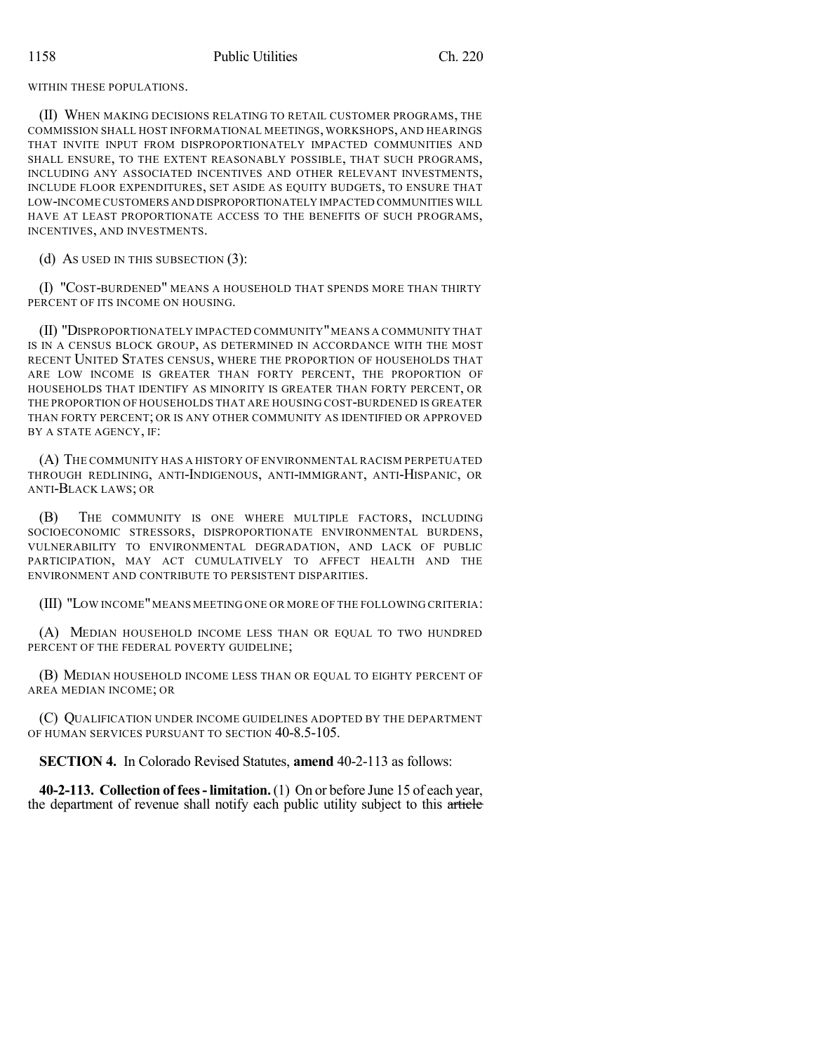WITHIN THESE POPULATIONS.

(II) WHEN MAKING DECISIONS RELATING TO RETAIL CUSTOMER PROGRAMS, THE COMMISSION SHALL HOST INFORMATIONAL MEETINGS, WORKSHOPS, AND HEARINGS THAT INVITE INPUT FROM DISPROPORTIONATELY IMPACTED COMMUNITIES AND SHALL ENSURE, TO THE EXTENT REASONABLY POSSIBLE, THAT SUCH PROGRAMS, INCLUDING ANY ASSOCIATED INCENTIVES AND OTHER RELEVANT INVESTMENTS, INCLUDE FLOOR EXPENDITURES, SET ASIDE AS EQUITY BUDGETS, TO ENSURE THAT LOW-INCOME CUSTOMERS AND DISPROPORTIONATELY IMPACTED COMMUNITIES WILL HAVE AT LEAST PROPORTIONATE ACCESS TO THE BENEFITS OF SUCH PROGRAMS, INCENTIVES, AND INVESTMENTS.

(d) AS USED IN THIS SUBSECTION (3):

(I) "COST-BURDENED" MEANS A HOUSEHOLD THAT SPENDS MORE THAN THIRTY PERCENT OF ITS INCOME ON HOUSING.

(II) "DISPROPORTIONATELY IMPACTED COMMUNITY"MEANS A COMMUNITY THAT IS IN A CENSUS BLOCK GROUP, AS DETERMINED IN ACCORDANCE WITH THE MOST RECENT UNITED STATES CENSUS, WHERE THE PROPORTION OF HOUSEHOLDS THAT ARE LOW INCOME IS GREATER THAN FORTY PERCENT, THE PROPORTION OF HOUSEHOLDS THAT IDENTIFY AS MINORITY IS GREATER THAN FORTY PERCENT, OR THE PROPORTION OF HOUSEHOLDS THAT ARE HOUSING COST-BURDENED IS GREATER THAN FORTY PERCENT; OR IS ANY OTHER COMMUNITY AS IDENTIFIED OR APPROVED BY A STATE AGENCY, IF:

(A) THE COMMUNITY HAS A HISTORY OF ENVIRONMENTAL RACISM PERPETUATED THROUGH REDLINING, ANTI-INDIGENOUS, ANTI-IMMIGRANT, ANTI-HISPANIC, OR ANTI-BLACK LAWS; OR

(B) THE COMMUNITY IS ONE WHERE MULTIPLE FACTORS, INCLUDING SOCIOECONOMIC STRESSORS, DISPROPORTIONATE ENVIRONMENTAL BURDENS, VULNERABILITY TO ENVIRONMENTAL DEGRADATION, AND LACK OF PUBLIC PARTICIPATION, MAY ACT CUMULATIVELY TO AFFECT HEALTH AND THE ENVIRONMENT AND CONTRIBUTE TO PERSISTENT DISPARITIES.

(III) "LOW INCOME"MEANS MEETING ONE OR MORE OF THE FOLLOWING CRITERIA:

(A) MEDIAN HOUSEHOLD INCOME LESS THAN OR EQUAL TO TWO HUNDRED PERCENT OF THE FEDERAL POVERTY GUIDELINE:

(B) MEDIAN HOUSEHOLD INCOME LESS THAN OR EQUAL TO EIGHTY PERCENT OF AREA MEDIAN INCOME; OR

(C) QUALIFICATION UNDER INCOME GUIDELINES ADOPTED BY THE DEPARTMENT OF HUMAN SERVICES PURSUANT TO SECTION 40-8.5-105.

**SECTION 4.** In Colorado Revised Statutes, **amend** 40-2-113 as follows:

**40-2-113. Collection of fees-limitation.**(1) On or before June 15 of each year, the department of revenue shall notify each public utility subject to this article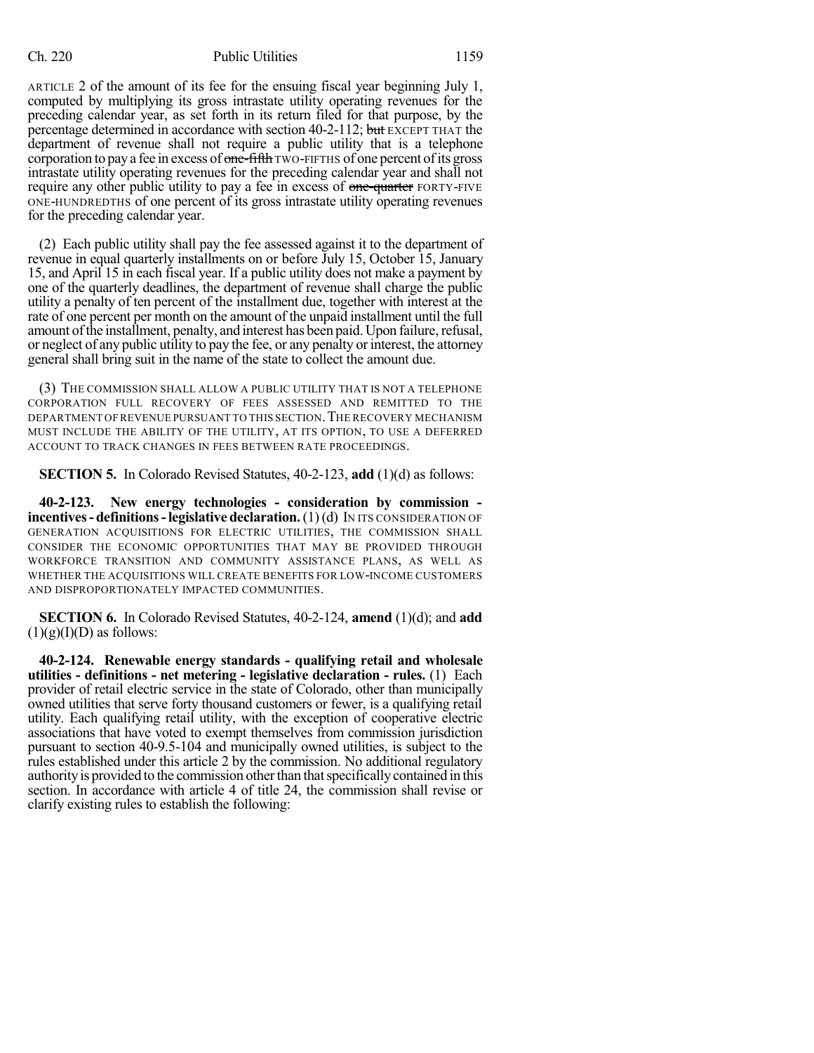ARTICLE 2 of the amount of its fee for the ensuing fiscal year beginning July 1, computed by multiplying its gross intrastate utility operating revenues for the preceding calendar year, as set forth in its return filed for that purpose, by the percentage determined in accordance with section 40-2-112; but EXCEPT THAT the department of revenue shall not require a public utility that is a telephone corporation to pay a fee in excess of one-fifth TWO-FIFTHS of one percent of its gross intrastate utility operating revenues for the preceding calendar year and shall not require any other public utility to pay a fee in excess of one-quarter FORTY-FIVE ONE-HUNDREDTHS of one percent of its gross intrastate utility operating revenues for the preceding calendar year.

(2) Each public utility shall pay the fee assessed against it to the department of revenue in equal quarterly installments on or before July 15, October 15, January 15, and April 15 in each fiscal year. If a public utility does not make a payment by one of the quarterly deadlines, the department of revenue shall charge the public utility a penalty of ten percent of the installment due, together with interest at the rate of one percent per month on the amount of the unpaid installment until the full amount of the installment, penalty, and interest has been paid. Upon failure, refusal, or neglect of any public utility to pay the fee, or any penalty or interest, the attorney general shall bring suit in the name of the state to collect the amount due.

(3) THE COMMISSION SHALL ALLOW A PUBLIC UTILITY THAT IS NOT A TELEPHONE CORPORATION FULL RECOVERY OF FEES ASSESSED AND REMITTED TO THE DEPARTMENT OF REVENUE PURSUANT TO THIS SECTION. THE RECOVERY MECHANISM MUST INCLUDE THE ABILITY OF THE UTILITY, AT ITS OPTION, TO USE A DEFERRED ACCOUNT TO TRACK CHANGES IN FEES BETWEEN RATE PROCEEDINGS.

**SECTION 5.** In Colorado Revised Statutes, 40-2-123, **add** (1)(d) as follows:

**40-2-123. New energy technologies - consideration by commission incentives- definitions-legislative declaration.**(1)(d) IN ITS CONSIDERATION OF GENERATION ACQUISITIONS FOR ELECTRIC UTILITIES, THE COMMISSION SHALL CONSIDER THE ECONOMIC OPPORTUNITIES THAT MAY BE PROVIDED THROUGH WORKFORCE TRANSITION AND COMMUNITY ASSISTANCE PLANS, AS WELL AS WHETHER THE ACQUISITIONS WILL CREATE BENEFITS FOR LOW-INCOME CUSTOMERS AND DISPROPORTIONATELY IMPACTED COMMUNITIES.

**SECTION 6.** In Colorado Revised Statutes, 40-2-124, **amend** (1)(d); and **add**  $(1)(g)(I)(D)$  as follows:

**40-2-124. Renewable energy standards - qualifying retail and wholesale utilities - definitions - net metering - legislative declaration - rules.** (1) Each provider of retail electric service in the state of Colorado, other than municipally owned utilities that serve forty thousand customers or fewer, is a qualifying retail utility. Each qualifying retail utility, with the exception of cooperative electric associations that have voted to exempt themselves from commission jurisdiction pursuant to section 40-9.5-104 and municipally owned utilities, is subject to the rules established under this article 2 by the commission. No additional regulatory authorityis provided to the commission otherthan thatspecificallycontained in this section. In accordance with article 4 of title 24, the commission shall revise or clarify existing rules to establish the following: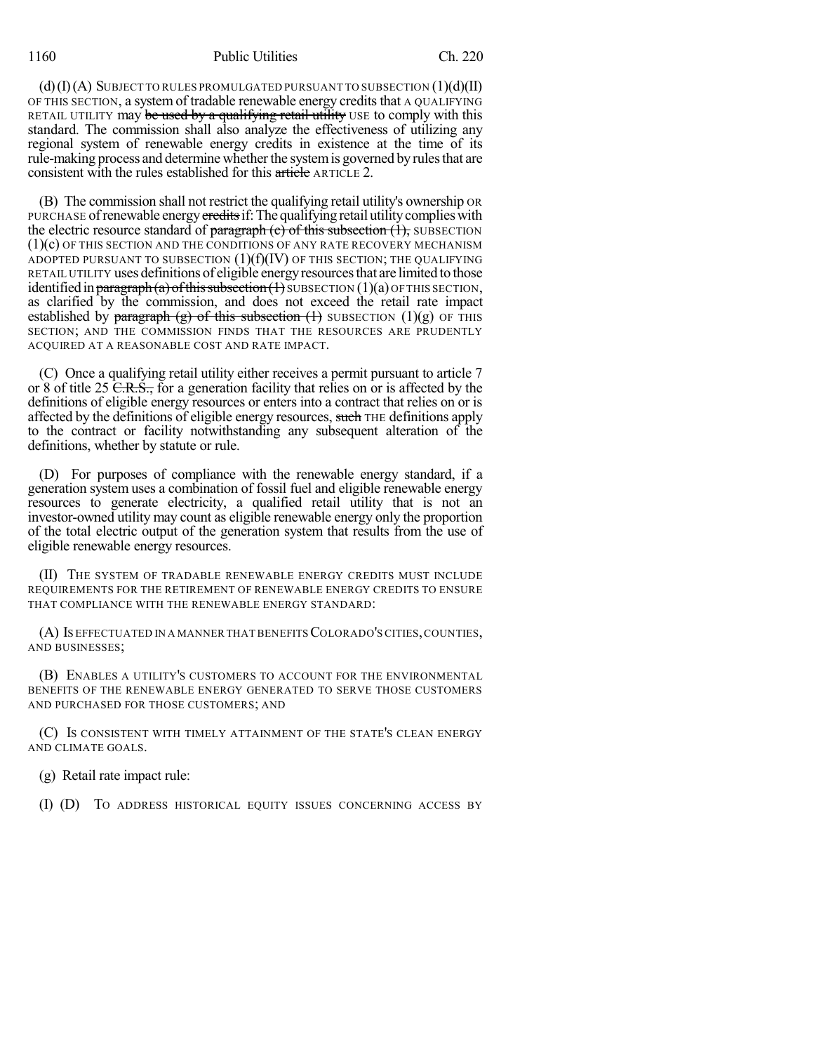1160 Public Utilities Ch. 220

 $(d)(I)(A)$  SUBJECT TO RULES PROMULGATED PURSUANT TO SUBSECTION  $(1)(d)(II)$ OF THIS SECTION, a system of tradable renewable energy creditsthat A QUALIFYING RETAIL UTILITY may be used by a qualifying retail utility USE to comply with this standard. The commission shall also analyze the effectiveness of utilizing any regional system of renewable energy credits in existence at the time of its rule-making process and determine whether the system is governed by rules that are consistent with the rules established for this article ARTICLE 2.

(B) The commission shall not restrict the qualifying retail utility's ownership OR PURCHASE of renewable energy credits if: The qualifying retail utility complies with the electric resource standard of paragraph  $(e)$  of this subsection  $(1)$ , SUBSECTION (1)(c) OF THIS SECTION AND THE CONDITIONS OF ANY RATE RECOVERY MECHANISM ADOPTED PURSUANT TO SUBSECTION  $(1)(f)(IV)$  OF THIS SECTION; THE QUALIFYING RETAIL UTILITY uses definitions of eligible energyresourcesthat are limited to those identified in paragraph (a) of this subsection  $(1)$  SUBSECTION  $(1)(a)$  OF THIS SECTION, as clarified by the commission, and does not exceed the retail rate impact established by paragraph (g) of this subsection  $(1)$  SUBSECTION  $(1)(g)$  OF THIS SECTION; AND THE COMMISSION FINDS THAT THE RESOURCES ARE PRUDENTLY ACQUIRED AT A REASONABLE COST AND RATE IMPACT.

(C) Once a qualifying retail utility either receives a permit pursuant to article 7 or 8 of title 25  $\overline{C.R.S.}$ , for a generation facility that relies on or is affected by the definitions of eligible energy resources or enters into a contract that relies on or is affected by the definitions of eligible energy resources, such THE definitions apply to the contract or facility notwithstanding any subsequent alteration of the definitions, whether by statute or rule.

(D) For purposes of compliance with the renewable energy standard, if a generation system uses a combination of fossil fuel and eligible renewable energy resources to generate electricity, a qualified retail utility that is not an investor-owned utility may count as eligible renewable energy only the proportion of the total electric output of the generation system that results from the use of eligible renewable energy resources.

(II) THE SYSTEM OF TRADABLE RENEWABLE ENERGY CREDITS MUST INCLUDE REQUIREMENTS FOR THE RETIREMENT OF RENEWABLE ENERGY CREDITS TO ENSURE THAT COMPLIANCE WITH THE RENEWABLE ENERGY STANDARD:

(A) IS EFFECTUATED IN A MANNER THATBENEFITSCOLORADO'S CITIES,COUNTIES, AND BUSINESSES;

(B) ENABLES A UTILITY'S CUSTOMERS TO ACCOUNT FOR THE ENVIRONMENTAL BENEFITS OF THE RENEWABLE ENERGY GENERATED TO SERVE THOSE CUSTOMERS AND PURCHASED FOR THOSE CUSTOMERS; AND

(C) IS CONSISTENT WITH TIMELY ATTAINMENT OF THE STATE'S CLEAN ENERGY AND CLIMATE GOALS.

(g) Retail rate impact rule:

(I) (D) TO ADDRESS HISTORICAL EQUITY ISSUES CONCERNING ACCESS BY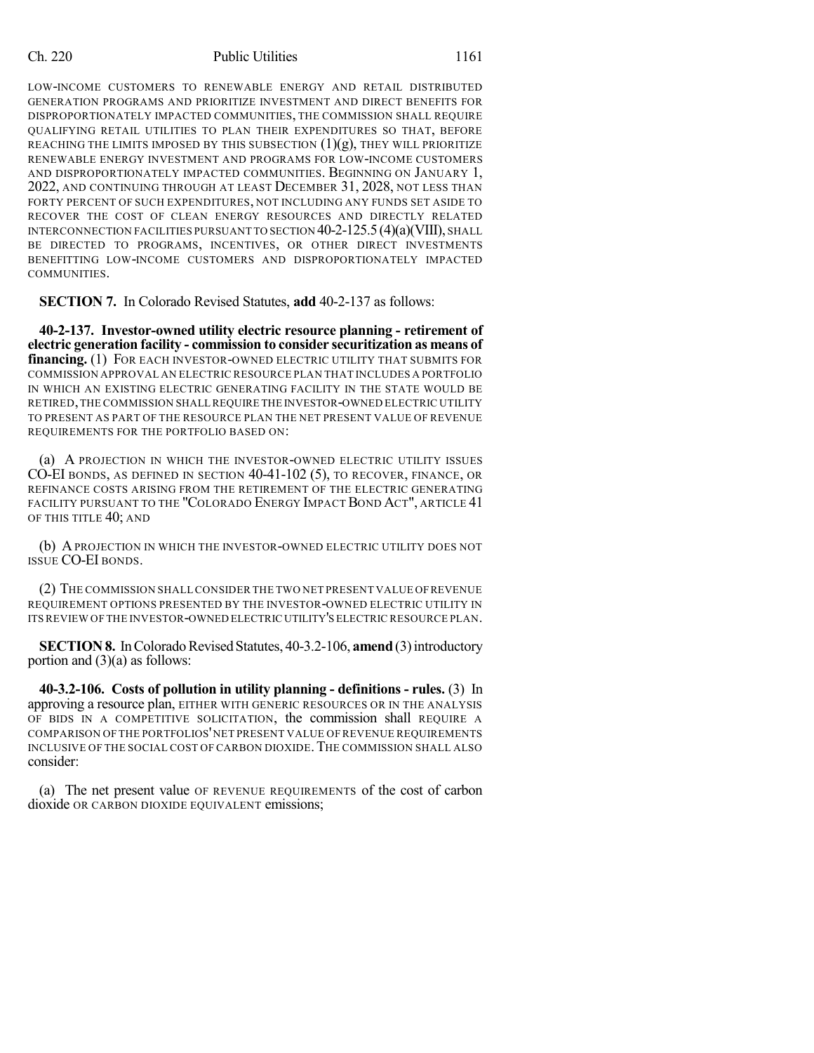LOW-INCOME CUSTOMERS TO RENEWABLE ENERGY AND RETAIL DISTRIBUTED GENERATION PROGRAMS AND PRIORITIZE INVESTMENT AND DIRECT BENEFITS FOR DISPROPORTIONATELY IMPACTED COMMUNITIES, THE COMMISSION SHALL REQUIRE QUALIFYING RETAIL UTILITIES TO PLAN THEIR EXPENDITURES SO THAT, BEFORE REACHING THE LIMITS IMPOSED BY THIS SUBSECTION  $(1)(g)$ , THEY WILL PRIORITIZE RENEWABLE ENERGY INVESTMENT AND PROGRAMS FOR LOW-INCOME CUSTOMERS AND DISPROPORTIONATELY IMPACTED COMMUNITIES. BEGINNING ON JANUARY 1, 2022, AND CONTINUING THROUGH AT LEAST DECEMBER 31, 2028, NOT LESS THAN FORTY PERCENT OF SUCH EXPENDITURES, NOT INCLUDING ANY FUNDS SET ASIDE TO RECOVER THE COST OF CLEAN ENERGY RESOURCES AND DIRECTLY RELATED INTERCONNECTION FACILITIES PURSUANT TO SECTION 40-2-125.5(4)(a)(VIII), SHALL BE DIRECTED TO PROGRAMS, INCENTIVES, OR OTHER DIRECT INVESTMENTS BENEFITTING LOW-INCOME CUSTOMERS AND DISPROPORTIONATELY IMPACTED COMMUNITIES.

**SECTION 7.** In Colorado Revised Statutes, **add** 40-2-137 as follows:

**40-2-137. Investor-owned utility electric resource planning - retirement of electric generation facility - commission to consider securitization as means of financing.** (1) FOR EACH INVESTOR-OWNED ELECTRIC UTILITY THAT SUBMITS FOR COMMISSION APPROVAL AN ELECTRIC RESOURCE PLAN THAT INCLUDES A PORTFOLIO IN WHICH AN EXISTING ELECTRIC GENERATING FACILITY IN THE STATE WOULD BE RETIRED,THE COMMISSION SHALL REQUIRE THE INVESTOR-OWNED ELECTRIC UTILITY TO PRESENT AS PART OF THE RESOURCE PLAN THE NET PRESENT VALUE OF REVENUE REQUIREMENTS FOR THE PORTFOLIO BASED ON:

(a) A PROJECTION IN WHICH THE INVESTOR-OWNED ELECTRIC UTILITY ISSUES CO-EI BONDS, AS DEFINED IN SECTION 40-41-102 (5), TO RECOVER, FINANCE, OR REFINANCE COSTS ARISING FROM THE RETIREMENT OF THE ELECTRIC GENERATING FACILITY PURSUANT TO THE "COLORADO ENERGY IMPACT BOND ACT", ARTICLE 41 OF THIS TITLE 40; AND

(b) APROJECTION IN WHICH THE INVESTOR-OWNED ELECTRIC UTILITY DOES NOT ISSUE CO-EI BONDS.

(2) THE COMMISSION SHALLCONSIDER THE TWO NET PRESENT VALUE OFREVENUE REQUIREMENT OPTIONS PRESENTED BY THE INVESTOR-OWNED ELECTRIC UTILITY IN ITS REVIEW OF THE INVESTOR-OWNED ELECTRIC UTILITY'S ELECTRIC RESOURCE PLAN.

**SECTION 8.** In Colorado Revised Statutes, 40-3.2-106, **amend** (3) introductory portion and (3)(a) as follows:

**40-3.2-106. Costs of pollution in utility planning - definitions - rules.** (3) In approving a resource plan, EITHER WITH GENERIC RESOURCES OR IN THE ANALYSIS OF BIDS IN A COMPETITIVE SOLICITATION, the commission shall REQUIRE A COMPARISON OF THE PORTFOLIOS'NET PRESENT VALUE OF REVENUE REQUIREMENTS INCLUSIVE OF THE SOCIAL COST OF CARBON DIOXIDE.THE COMMISSION SHALL ALSO consider:

(a) The net present value OF REVENUE REQUIREMENTS of the cost of carbon dioxide OR CARBON DIOXIDE EQUIVALENT emissions;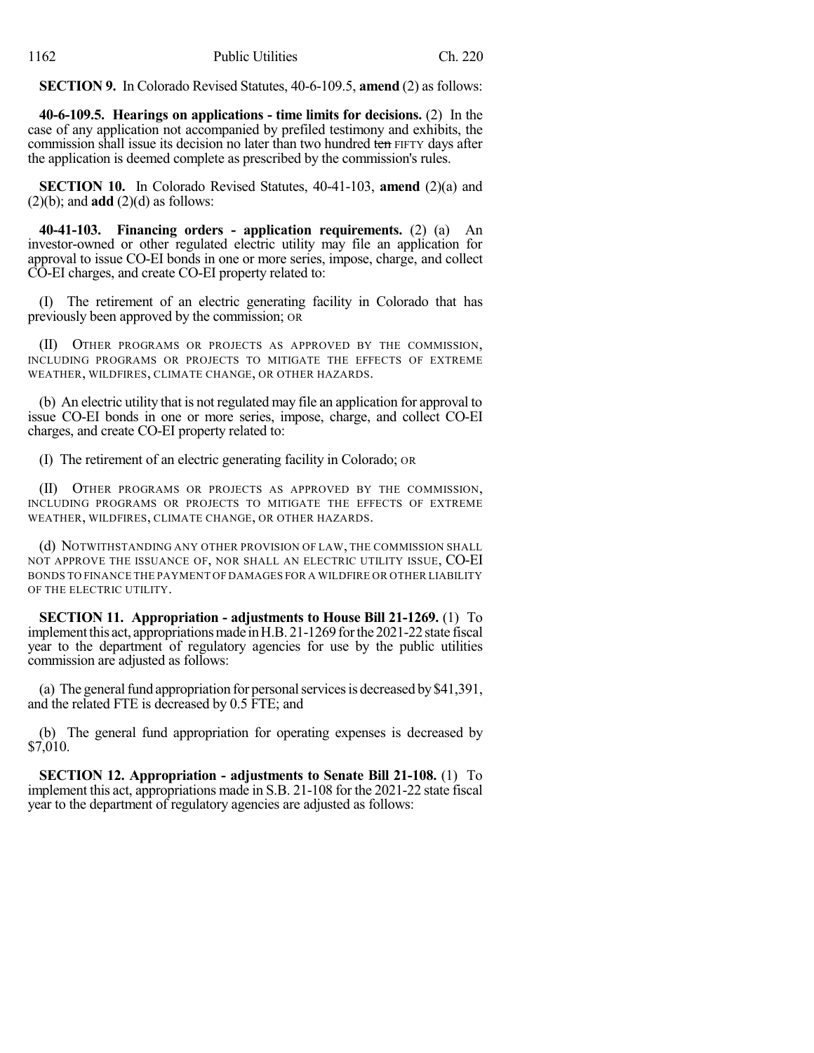**SECTION 9.** In Colorado Revised Statutes, 40-6-109.5, **amend** (2) as follows:

**40-6-109.5. Hearings on applications - time limits for decisions.** (2) In the case of any application not accompanied by prefiled testimony and exhibits, the commission shall issue its decision no later than two hundred ten FIFTY days after the application is deemed complete as prescribed by the commission's rules.

**SECTION 10.** In Colorado Revised Statutes, 40-41-103, **amend** (2)(a) and  $(2)(b)$ ; and **add**  $(2)(d)$  as follows:

**40-41-103. Financing orders - application requirements.** (2) (a) An investor-owned or other regulated electric utility may file an application for approval to issue CO-EI bonds in one or more series, impose, charge, and collect CO-EI charges, and create CO-EI property related to:

(I) The retirement of an electric generating facility in Colorado that has previously been approved by the commission; OR

(II) OTHER PROGRAMS OR PROJECTS AS APPROVED BY THE COMMISSION, INCLUDING PROGRAMS OR PROJECTS TO MITIGATE THE EFFECTS OF EXTREME WEATHER, WILDFIRES, CLIMATE CHANGE, OR OTHER HAZARDS.

(b) An electric utility that is not regulated may file an application for approval to issue CO-EI bonds in one or more series, impose, charge, and collect CO-EI charges, and create CO-EI property related to:

(I) The retirement of an electric generating facility in Colorado; OR

(II) OTHER PROGRAMS OR PROJECTS AS APPROVED BY THE COMMISSION, INCLUDING PROGRAMS OR PROJECTS TO MITIGATE THE EFFECTS OF EXTREME WEATHER, WILDFIRES, CLIMATE CHANGE, OR OTHER HAZARDS.

(d) NOTWITHSTANDING ANY OTHER PROVISION OF LAW, THE COMMISSION SHALL NOT APPROVE THE ISSUANCE OF, NOR SHALL AN ELECTRIC UTILITY ISSUE, CO-EI BONDS TO FINANCE THE PAYMENT OF DAMAGES FOR A WILDFIRE OR OTHER LIABILITY OF THE ELECTRIC UTILITY.

**SECTION 11. Appropriation - adjustments to House Bill 21-1269.** (1) To implement this act, appropriations made in H.B. 21-1269 for the 2021-22 state fiscal year to the department of regulatory agencies for use by the public utilities commission are adjusted as follows:

(a) The general fund appropriation for personal services is decreased by  $$41,391$ , and the related FTE is decreased by 0.5 FTE; and

(b) The general fund appropriation for operating expenses is decreased by \$7,010.

**SECTION 12. Appropriation - adjustments to Senate Bill 21-108.** (1) To implement this act, appropriations made in S.B. 21-108 for the 2021-22 state fiscal year to the department of regulatory agencies are adjusted as follows: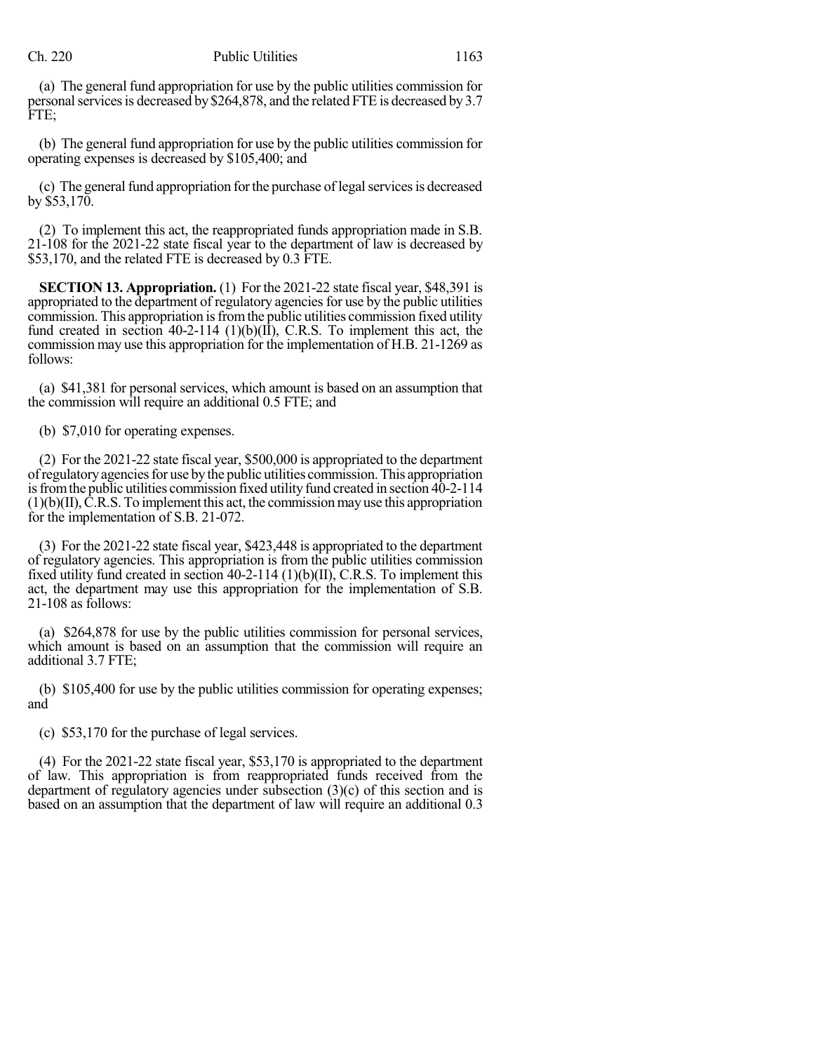(a) The general fund appropriation for use by the public utilities commission for personal services is decreased by \$264,878, and the related FTE is decreased by 3.7 FTE;

(b) The general fund appropriation for use by the public utilities commission for operating expenses is decreased by \$105,400; and

(c) The general fund appropriation for the purchase of legal services is decreased by \$53,170.

(2) To implement this act, the reappropriated funds appropriation made in S.B. 21-108 for the 2021-22 state fiscal year to the department of law is decreased by \$53,170, and the related FTE is decreased by 0.3 FTE.

**SECTION 13. Appropriation.** (1) For the 2021-22 state fiscal year, \$48,391 is appropriated to the department of regulatory agencies for use by the public utilities commission. This appropriation is from the public utilities commission fixed utility fund created in section  $40-2-114$  (1)(b)(II), C.R.S. To implement this act, the commission may use this appropriation for the implementation of H.B. 21-1269 as follows:

(a) \$41,381 for personal services, which amount is based on an assumption that the commission will require an additional 0.5 FTE; and

(b) \$7,010 for operating expenses.

(2) For the 2021-22 state fiscal year, \$500,000 is appropriated to the department ofregulatoryagenciesfor use bythe public utilities commission.This appropriation is from the public utilities commission fixed utility fund created in section 40-2-114  $(1)(b)(II)$ ,  $\tilde{C}$ .R.S. To implement this act, the commission may use this appropriation for the implementation of S.B. 21-072.

(3) For the 2021-22 state fiscal year, \$423,448 is appropriated to the department of regulatory agencies. This appropriation is from the public utilities commission fixed utility fund created in section 40-2-114 (1)(b)(II), C.R.S. To implement this act, the department may use this appropriation for the implementation of S.B. 21-108 as follows:

(a) \$264,878 for use by the public utilities commission for personal services, which amount is based on an assumption that the commission will require an additional 3.7 FTE;

(b) \$105,400 for use by the public utilities commission for operating expenses; and

(c) \$53,170 for the purchase of legal services.

(4) For the 2021-22 state fiscal year, \$53,170 is appropriated to the department of law. This appropriation is from reappropriated funds received from the department of regulatory agencies under subsection (3)(c) of this section and is based on an assumption that the department of law will require an additional 0.3